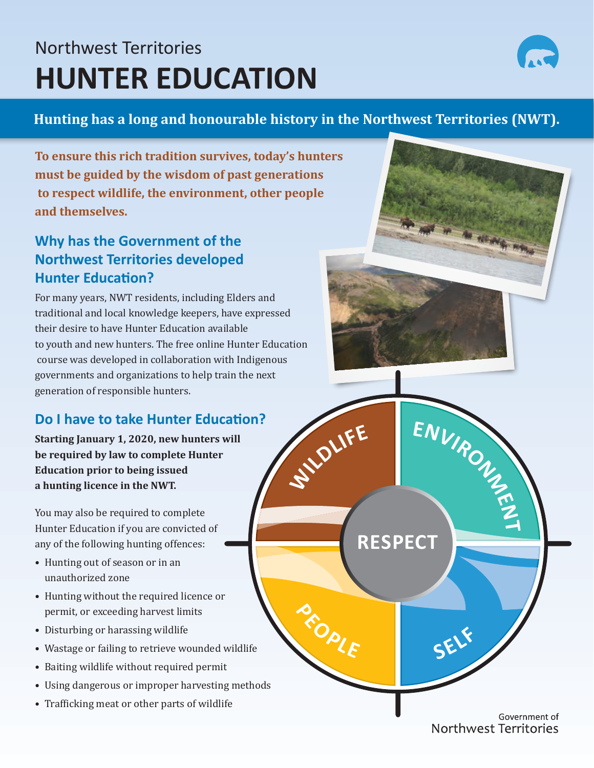# Northwest Territories **HUNTER EDUCATION**



### **Hunting has a long and honourable history in the Northwest Territories (NWT).**

**<sup>P</sup>EOPL<sup>E</sup>**

**To ensure this rich tradition survives, today's hunters must be guided by the wisdom of past generations to respect wildlife, the environment, other people and themselves.**

## **Why has the Government of the Northwest Territories developed Hunter Education?**

For many years, NWT residents, including Elders and traditional and local knowledge keepers, have expressed their desire to have Hunter Education available to youth and new hunters. The free online Hunter Education course was developed in collaboration with Indigenous governments and organizations to help train the next generation of responsible hunters.  $\frac{1}{2}$  **ENVIR**<sub>O</sub><sub>U</sub>

## **Do I have to take Hunter Education?**

**Starting January 1, 2020, new hunters will be required by law to complete Hunter Education prior to being issued a hunting licence in the NWT.** 

You may also be required to complete Hunter Education if you are convicted of any of the following hunting offences:

- Hunting out of season or in an unauthorized zone
- Hunting without the required licence or permit, or exceeding harvest limits
- Disturbing or harassing wildlife
- Wastage or failing to retrieve wounded wildlife
- Baiting wildlife without required permit
- Using dangerous or improper harvesting methods
- Trafficking meat or other parts of wildlife

Government of Northwest Territories

**<sup>S</sup>EL<sup>F</sup>**

**RESPECT**